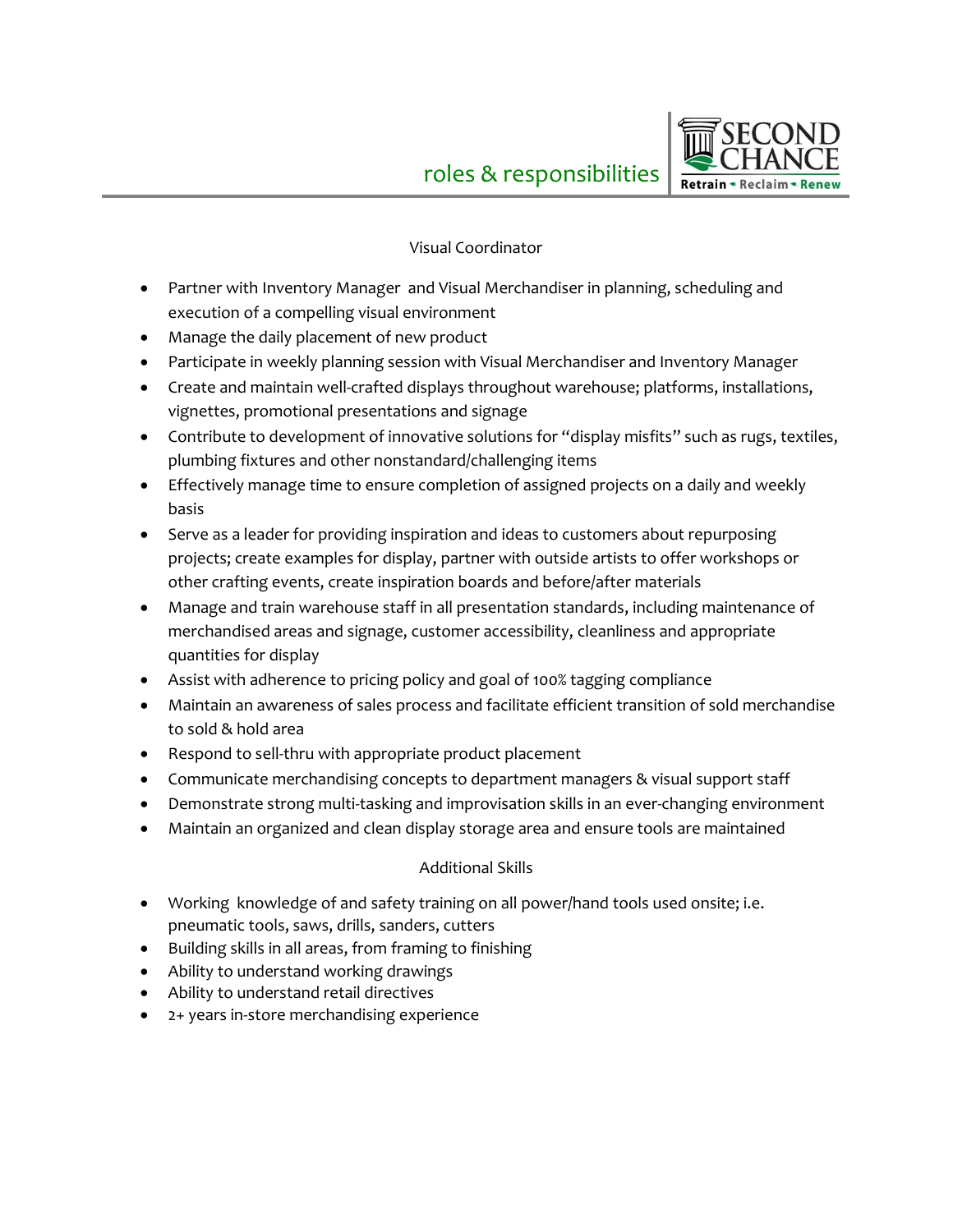

## Visual Coordinator

- Partner with Inventory Manager and Visual Merchandiser in planning, scheduling and execution of a compelling visual environment
- Manage the daily placement of new product
- Participate in weekly planning session with Visual Merchandiser and Inventory Manager
- Create and maintain well-crafted displays throughout warehouse; platforms, installations, vignettes, promotional presentations and signage
- Contribute to development of innovative solutions for "display misfits" such as rugs, textiles, plumbing fixtures and other nonstandard/challenging items
- Effectively manage time to ensure completion of assigned projects on a daily and weekly basis
- Serve as a leader for providing inspiration and ideas to customers about repurposing projects; create examples for display, partner with outside artists to offer workshops or other crafting events, create inspiration boards and before/after materials
- Manage and train warehouse staff in all presentation standards, including maintenance of merchandised areas and signage, customer accessibility, cleanliness and appropriate quantities for display
- Assist with adherence to pricing policy and goal of 100% tagging compliance
- Maintain an awareness of sales process and facilitate efficient transition of sold merchandise to sold & hold area
- Respond to sell-thru with appropriate product placement
- Communicate merchandising concepts to department managers & visual support staff
- Demonstrate strong multi-tasking and improvisation skills in an ever-changing environment
- Maintain an organized and clean display storage area and ensure tools are maintained

## Additional Skills

- Working knowledge of and safety training on all power/hand tools used onsite; i.e. pneumatic tools, saws, drills, sanders, cutters
- Building skills in all areas, from framing to finishing
- Ability to understand working drawings
- Ability to understand retail directives
- 2+ years in-store merchandising experience